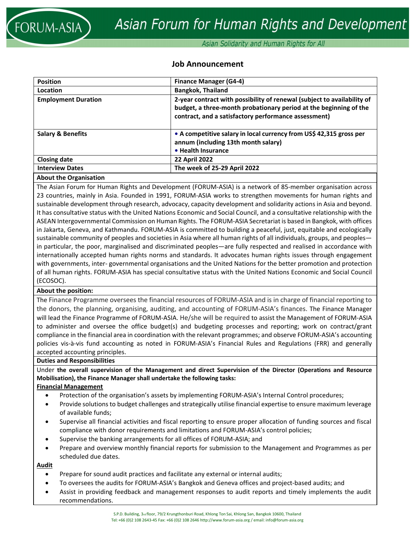Asian Solidarity and Human Rights for All

# **Job Announcement**

| <b>Position</b>              | <b>Finance Manager (G4-4)</b>                                                                                                                                                                        |
|------------------------------|------------------------------------------------------------------------------------------------------------------------------------------------------------------------------------------------------|
| Location                     | <b>Bangkok, Thailand</b>                                                                                                                                                                             |
| <b>Employment Duration</b>   | 2-year contract with possibility of renewal (subject to availability of<br>budget, a three-month probationary period at the beginning of the<br>contract, and a satisfactory performance assessment) |
| <b>Salary &amp; Benefits</b> | • A competitive salary in local currency from US\$ 42,315 gross per<br>annum (including 13th month salary)<br>• Health Insurance                                                                     |
| <b>Closing date</b>          | <b>22 April 2022</b>                                                                                                                                                                                 |
| <b>Interview Dates</b>       | The week of 25-29 April 2022                                                                                                                                                                         |
|                              |                                                                                                                                                                                                      |

### **About the Organisation**

The Asian Forum for Human Rights and Development (FORUM‐ASIA) is a network of 85‐member organisation across 23 countries, mainly in Asia. Founded in 1991, FORUM‐ASIA works to strengthen movements for human rights and sustainable development through research, advocacy, capacity development and solidarity actions in Asia and beyond. It has consultative status with the United Nations Economic and Social Council, and a consultative relationship with the ASEAN Intergovernmental Commission on Human Rights. The FORUM‐ASIA Secretariat is based in Bangkok, with offices in Jakarta, Geneva, and Kathmandu. FORUM‐ASIA is committed to building a peaceful, just, equitable and ecologically sustainable community of peoples and societies in Asia where all human rights of all individuals, groups, and peoples in particular, the poor, marginalised and discriminated peoples—are fully respected and realised in accordance with internationally accepted human rights norms and standards. It advocates human rights issues through engagement with governments, inter‐ governmental organisations and the United Nations for the better promotion and protection of all human rights. FORUM‐ASIA has special consultative status with the United Nations Economic and Social Council (ECOSOC).

#### **About the position:**

The Finance Programme oversees the financial resources of FORUM‐ASIA and is in charge of financial reporting to the donors, the planning, organising, auditing, and accounting of FORUM‐ASIA's finances. The Finance Manager will lead the Finance Programme of FORUM‐ASIA. He/she will be required to assist the Management of FORUM‐ASIA to administer and oversee the office budget(s) and budgeting processes and reporting; work on contract/grant compliance in the financial area in coordination with the relevant programmes; and observe FORUM‐ASIA's accounting policies vis‐à‐vis fund accounting as noted in FORUM‐ASIA's Financial Rules and Regulations (FRR) and generally accepted accounting principles.

#### **Duties and Responsibilities**

Under **the overall supervision of the Management and direct Supervision of the Director (Operations and Resource Mobilisation), the Finance Manager shall undertake the following tasks:**

### **Financial Management**

- Protection of the organisation's assets by implementing FORUM‐ASIA's Internal Control procedures;
- Provide solutions to budget challenges and strategically utilise financial expertise to ensure maximum leverage of available funds;
- Supervise all financial activities and fiscal reporting to ensure proper allocation of funding sources and fiscal compliance with donor requirements and limitations and FORUM‐ASIA's control policies;
- Supervise the banking arrangements for all offices of FORUM‐ASIA; and
- Prepare and overview monthly financial reports for submission to the Management and Programmes as per scheduled due dates.

### **Audit**

- Prepare for sound audit practices and facilitate any external or internal audits;
- To oversees the audits for FORUM‐ASIA's Bangkok and Geneva offices and project‐based audits; and
- Assist in providing feedback and management responses to audit reports and timely implements the audit recommendations.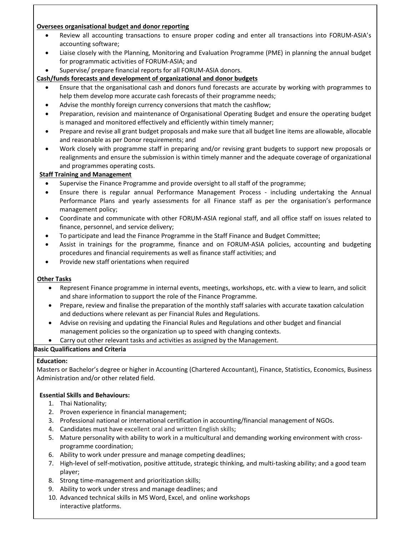### **Oversees organisational budget and donor reporting**

- Review all accounting transactions to ensure proper coding and enter all transactions into FORUM‐ASIA's accounting software;
- Liaise closely with the Planning, Monitoring and Evaluation Programme (PME) in planning the annual budget for programmatic activities of FORUM‐ASIA; and
- Supervise/ prepare financial reports for all FORUM‐ASIA donors.

# **Cash/funds forecasts and development of organizational and donor budgets**

- Ensure that the organisational cash and donors fund forecasts are accurate by working with programmes to help them develop more accurate cash forecasts of their programme needs;
- Advise the monthly foreign currency conversions that match the cashflow;
- Preparation, revision and maintenance of Organisational Operating Budget and ensure the operating budget is managed and monitored effectively and efficiently within timely manner;
- Prepare and revise all grant budget proposals and make sure that all budget line items are allowable, allocable and reasonable as per Donor requirements; and
- Work closely with programme staff in preparing and/or revising grant budgets to support new proposals or realignments and ensure the submission is within timely manner and the adequate coverage of organizational and programmes operating costs.

# **Staff Training and Management**

- Supervise the Finance Programme and provide oversight to all staff of the programme;
- Ensure there is regular annual Performance Management Process ‐ including undertaking the Annual Performance Plans and yearly assessments for all Finance staff as per the organisation's performance management policy;
- Coordinate and communicate with other FORUM‐ASIA regional staff, and all office staff on issues related to finance, personnel, and service delivery;
- To participate and lead the Finance Programme in the Staff Finance and Budget Committee;
- Assist in trainings for the programme, finance and on FORUM‐ASIA policies, accounting and budgeting procedures and financial requirements as well as finance staff activities; and
- Provide new staff orientations when required

# **Other Tasks**

- Represent Finance programme in internal events, meetings, workshops, etc. with a view to learn, and solicit and share information to support the role of the Finance Programme.
- Prepare, review and finalise the preparation of the monthly staff salaries with accurate taxation calculation and deductions where relevant as per Financial Rules and Regulations.
- Advise on revising and updating the Financial Rules and Regulations and other budget and financial management policies so the organization up to speed with changing contexts.
- Carry out other relevant tasks and activities as assigned by the Management.

# **Basic Qualifications and Criteria**

# **Education:**

Masters or Bachelor's degree or higher in Accounting (Chartered Accountant), Finance, Statistics, Economics, Business Administration and/or other related field.

# **Essential Skills and Behaviours:**

- 1. Thai Nationality;
- 2. Proven experience in financial management;
- 3. Professional national or international certification in accounting/financial management of NGOs.
- 4. Candidates must have excellent oral and written English skills;
- 5. Mature personality with ability to work in a multicultural and demanding working environment with crossprogramme coordination;
- 6. Ability to work under pressure and manage competing deadlines;
- 7. High-level of self-motivation, positive attitude, strategic thinking, and multi-tasking ability; and a good team player;
- 8. Strong time‐management and prioritization skills;
- 9. Ability to work under stress and manage deadlines; and
- 10. Advanced technical skills in MS Word, Excel, and online workshops interactive platforms.